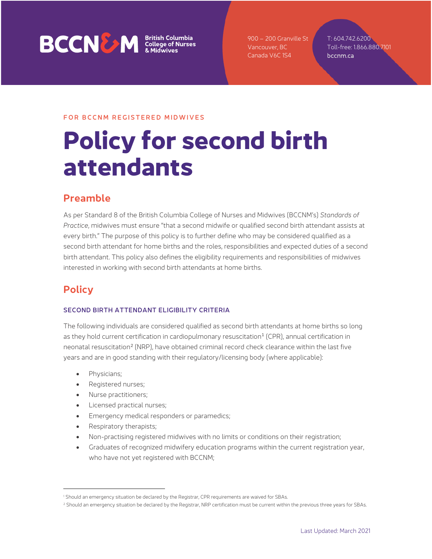# **BCCNEW** *Sritish Columbia*<br>*EXCONEW College of Nurses*

900 – 200 Granville St Vancouver, BC Canada V6C 1S4

T: 604.742.6200 Toll-free: 1.866.880.7101 bccnm.ca

## FOR BCCNM REGISTERED MIDWIVES

# **Policy for second birth attendants**

# **Preamble**

As per Standard 8 of the British Columbia College of Nurses and Midwives (BCCNM's) *Standards of Practice*, midwives must ensure "that a second midwife or qualified second birth attendant assists at every birth." The purpose of this policy is to further define who may be considered qualified as a second birth attendant for home births and the roles, responsibilities and expected duties of a second birth attendant. This policy also defines the eligibility requirements and responsibilities of midwives interested in working with second birth attendants at home births.

# **Policy**

## SECOND BIRTH ATTENDANT ELIGIBILITY CRITERIA

The following individuals are considered qualified as second birth attendants at home births so long as they hold current certification in cardiopulmonary resuscitation<sup>[1](#page-0-0)</sup> (CPR), annual certification in neonatal resuscitation<sup>[2](#page-0-1)</sup> (NRP), have obtained criminal record check clearance within the last five years and are in good standing with their regulatory/licensing body (where applicable):

- Physicians;
- Registered nurses;
- Nurse practitioners;
- Licensed practical nurses;
- Emergency medical responders or paramedics;
- Respiratory therapists;
- Non-practising registered midwives with no limits or conditions on their registration;
- Graduates of recognized midwifery education programs within the current registration year, who have not yet registered with BCCNM;

<span id="page-0-0"></span><sup>&</sup>lt;sup>1</sup> Should an emergency situation be declared by the Registrar, CPR requirements are waived for SBAs.

<span id="page-0-1"></span><sup>&</sup>lt;sup>2</sup> Should an emergency situation be declared by the Registrar, NRP certification must be current within the previous three years for SBAs.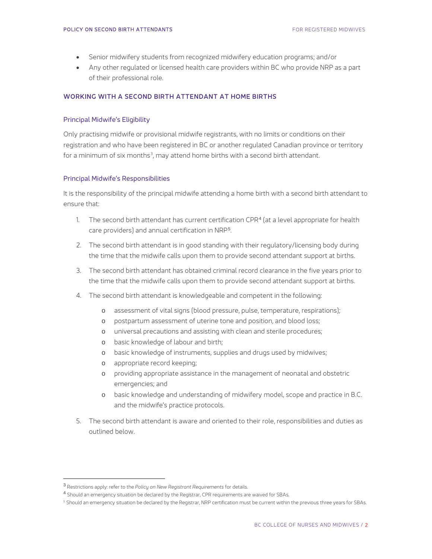- Senior midwifery students from recognized midwifery education programs; and/or
- Any other regulated or licensed health care providers within BC who provide NRP as a part of their professional role.

#### WORKING WITH A SECOND BIRTH ATTENDANT AT HOME BIRTHS

#### Principal Midwife's Eligibility

Only practising midwife or provisional midwife registrants, with no limits or conditions on their registration and who have been registered in BC or another regulated Canadian province or territory for a minimum of six months $^3$  $^3$ , may attend home births with a second birth attendant.

#### Principal Midwife's Responsibilities

It is the responsibility of the principal midwife attending a home birth with a second birth attendant to ensure that:

- 1. The second birth attendant has current certification CPR<sup>[4](#page-1-1)</sup> (at a level appropriate for health care providers) and annual certification in NRP<sup>[5](#page-1-2)</sup>.
- 2. The second birth attendant is in good standing with their regulatory/licensing body during the time that the midwife calls upon them to provide second attendant support at births.
- 3. The second birth attendant has obtained criminal record clearance in the five years prior to the time that the midwife calls upon them to provide second attendant support at births.
- 4. The second birth attendant is knowledgeable and competent in the following:
	- o assessment of vital signs (blood pressure, pulse, temperature, respirations);
	- o postpartum assessment of uterine tone and position, and blood loss;
	- o universal precautions and assisting with clean and sterile procedures;
	- o basic knowledge of labour and birth;
	- o basic knowledge of instruments, supplies and drugs used by midwives;
	- o appropriate record keeping;
	- o providing appropriate assistance in the management of neonatal and obstetric emergencies; and
	- o basic knowledge and understanding of midwifery model, scope and practice in B.C. and the midwife's practice protocols.
- 5. The second birth attendant is aware and oriented to their role, responsibilities and duties as outlined below.

<span id="page-1-0"></span><sup>3</sup> Restrictions apply: refer to the *Policy on New Registrant Requirements* for details*.*

<span id="page-1-2"></span><span id="page-1-1"></span><sup>4</sup> Should an emergency situation be declared by the Registrar, CPR requirements are waived for SBAs.

<sup>&</sup>lt;sup>5</sup> Should an emergency situation be declared by the Registrar, NRP certification must be current within the previous three years for SBAs.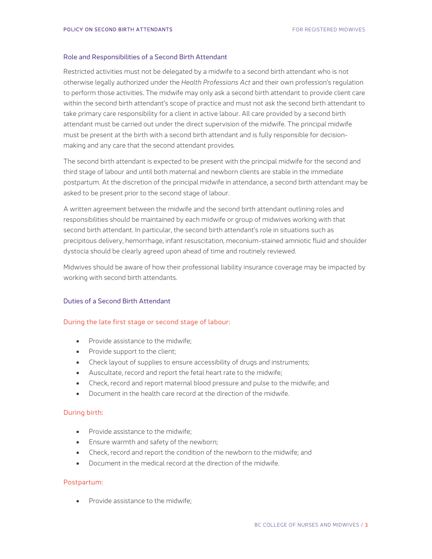#### Role and Responsibilities of a Second Birth Attendant

Restricted activities must not be delegated by a midwife to a second birth attendant who is not otherwise legally authorized under the *Health Professions Act* and their own profession's regulation to perform those activities. The midwife may only ask a second birth attendant to provide client care within the second birth attendant's scope of practice and must not ask the second birth attendant to take primary care responsibility for a client in active labour. All care provided by a second birth attendant must be carried out under the direct supervision of the midwife. The principal midwife must be present at the birth with a second birth attendant and is fully responsible for decisionmaking and any care that the second attendant provides*.*

The second birth attendant is expected to be present with the principal midwife for the second and third stage of labour and until both maternal and newborn clients are stable in the immediate postpartum. At the discretion of the principal midwife in attendance, a second birth attendant may be asked to be present prior to the second stage of labour.

A written agreement between the midwife and the second birth attendant outlining roles and responsibilities should be maintained by each midwife or group of midwives working with that second birth attendant. In particular, the second birth attendant's role in situations such as precipitous delivery, hemorrhage, infant resuscitation, meconium-stained amniotic fluid and shoulder dystocia should be clearly agreed upon ahead of time and routinely reviewed.

Midwives should be aware of how their professional liability insurance coverage may be impacted by working with second birth attendants.

### Duties of a Second Birth Attendant

#### During the late first stage or second stage of labour:

- Provide assistance to the midwife:
- Provide support to the client;
- Check layout of supplies to ensure accessibility of drugs and instruments;
- Auscultate, record and report the fetal heart rate to the midwife;
- Check, record and report maternal blood pressure and pulse to the midwife; and
- Document in the health care record at the direction of the midwife.

#### During birth:

- Provide assistance to the midwife;
- Ensure warmth and safety of the newborn;
- Check, record and report the condition of the newborn to the midwife; and
- Document in the medical record at the direction of the midwife.

#### Postpartum:

• Provide assistance to the midwife: